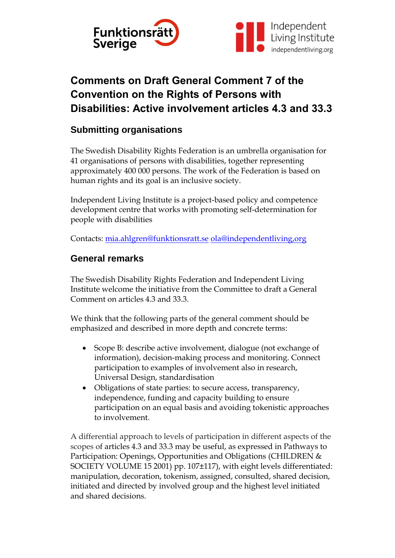

# **Comments on Draft General Comment 7 of the Convention on the Rights of Persons with Disabilities: Active involvement articles 4.3 and 33.3**

# **Submitting organisations**

The Swedish Disability Rights Federation is an umbrella organisation for 41 organisations of persons with disabilities, together representing approximately 400 000 persons. The work of the Federation is based on human rights and its goal is an inclusive society.

Independent Living Institute is a project-based policy and competence development centre that works with promoting self-determination for people with disabilities

Contacts: [mia.ahlgren@funktionsratt.se](mailto:mia.ahlgren@funktionsratt.se) [ola@independentliving,org](mailto:ola@independentliving,org)

# **General remarks**

The Swedish Disability Rights Federation and Independent Living Institute welcome the initiative from the Committee to draft a General Comment on articles 4.3 and 33.3.

We think that the following parts of the general comment should be emphasized and described in more depth and concrete terms:

- Scope B: describe active involvement, dialogue (not exchange of information), decision-making process and monitoring. Connect participation to examples of involvement also in research, Universal Design, standardisation
- Obligations of state parties: to secure access, transparency, independence, funding and capacity building to ensure participation on an equal basis and avoiding tokenistic approaches to involvement.

A differential approach to levels of participation in different aspects of the scopes of articles 4.3 and 33.3 may be useful, as expressed in Pathways to Participation: Openings, Opportunities and Obligations (CHILDREN & SOCIETY VOLUME 15 2001) pp. 107±117), with eight levels differentiated: manipulation, decoration, tokenism, assigned, consulted, shared decision, initiated and directed by involved group and the highest level initiated and shared decisions.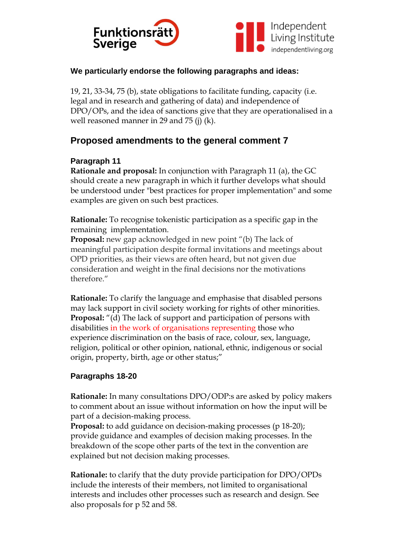



#### **We particularly endorse the following paragraphs and ideas:**

19, 21, 33-34, 75 (b), state obligations to facilitate funding, capacity (i.e. legal and in research and gathering of data) and independence of DPO/OPs, and the idea of sanctions give that they are operationalised in a well reasoned manner in 29 and 75 (j) (k).

## **Proposed amendments to the general comment 7**

### **Paragraph 11**

**Rationale and proposal:** In conjunction with Paragraph 11 (a), the GC should create a new paragraph in which it further develops what should be understood under "best practices for proper implementation" and some examples are given on such best practices.

**Rationale:** To recognise tokenistic participation as a specific gap in the remaining implementation.

**Proposal:** new gap acknowledged in new point "(b) The lack of meaningful participation despite formal invitations and meetings about OPD priorities, as their views are often heard, but not given due consideration and weight in the final decisions nor the motivations therefore."

**Rationale:** To clarify the language and emphasise that disabled persons may lack support in civil society working for rights of other minorities. **Proposal:** "(d) The lack of support and participation of persons with disabilities in the work of organisations representing those who experience discrimination on the basis of race, colour, sex, language, religion, political or other opinion, national, ethnic, indigenous or social origin, property, birth, age or other status;"

#### **Paragraphs 18-20**

**Rationale:** In many consultations DPO/ODP:s are asked by policy makers to comment about an issue without information on how the input will be part of a decision-making process.

**Proposal:** to add guidance on decision-making processes (p 18-20); provide guidance and examples of decision making processes. In the breakdown of the scope other parts of the text in the convention are explained but not decision making processes.

**Rationale:** to clarify that the duty provide participation for DPO/OPDs include the interests of their members, not limited to organisational interests and includes other processes such as research and design. See also proposals for p 52 and 58.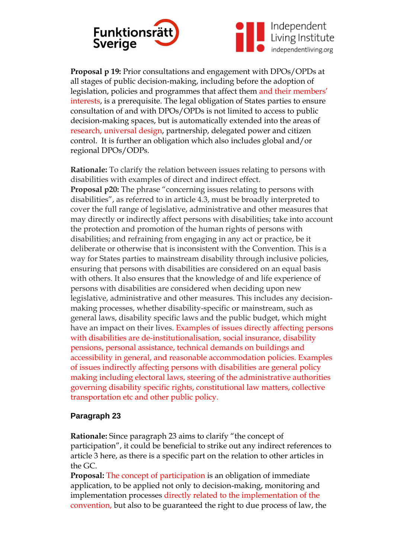



**Proposal p 19:** Prior consultations and engagement with DPOs/OPDs at all stages of public decision-making, including before the adoption of legislation, policies and programmes that affect them and their members' interests, is a prerequisite. The legal obligation of States parties to ensure consultation of and with DPOs/OPDs is not limited to access to public decision-making spaces, but is automatically extended into the areas of research, universal design, partnership, delegated power and citizen control. It is further an obligation which also includes global and/or regional DPOs/ODPs.

**Rationale:** To clarify the relation between issues relating to persons with disabilities with examples of direct and indirect effect.

**Proposal p20:** The phrase "concerning issues relating to persons with disabilities", as referred to in article 4.3, must be broadly interpreted to cover the full range of legislative, administrative and other measures that may directly or indirectly affect persons with disabilities; take into account the protection and promotion of the human rights of persons with disabilities; and refraining from engaging in any act or practice, be it deliberate or otherwise that is inconsistent with the Convention. This is a way for States parties to mainstream disability through inclusive policies, ensuring that persons with disabilities are considered on an equal basis with others. It also ensures that the knowledge of and life experience of persons with disabilities are considered when deciding upon new legislative, administrative and other measures. This includes any decisionmaking processes, whether disability-specific or mainstream, such as general laws, disability specific laws and the public budget, which might have an impact on their lives. Examples of issues directly affecting persons with disabilities are de-institutionalisation, social insurance, disability pensions, personal assistance, technical demands on buildings and accessibility in general, and reasonable accommodation policies. Examples of issues indirectly affecting persons with disabilities are general policy making including electoral laws, steering of the administrative authorities governing disability specific rights, constitutional law matters, collective transportation etc and other public policy.

#### **Paragraph 23**

**Rationale:** Since paragraph 23 aims to clarify "the concept of participation", it could be beneficial to strike out any indirect references to article 3 here, as there is a specific part on the relation to other articles in the GC.

**Proposal:** The concept of participation is an obligation of immediate application, to be applied not only to decision-making, monitoring and implementation processes directly related to the implementation of the convention, but also to be guaranteed the right to due process of law, the